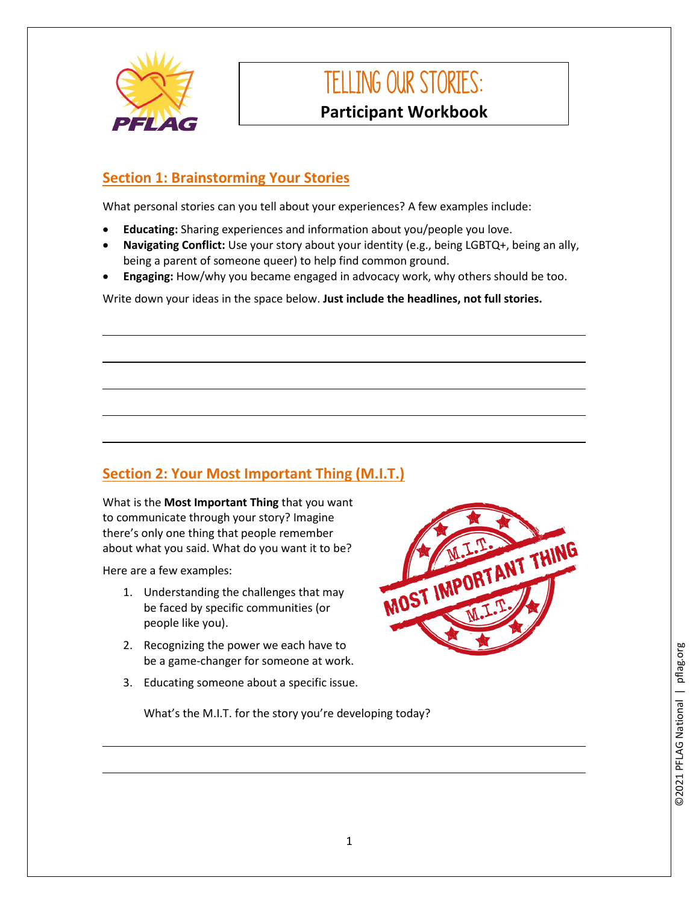

# Telling our stories: **Participant Workbook**

#### **Section 1: Brainstorming Your Stories**

What personal stories can you tell about your experiences? A few examples include:

- **Educating:** Sharing experiences and information about you/people you love.
- **Navigating Conflict:** Use your story about your identity (e.g., being LGBTQ+, being an ally, being a parent of someone queer) to help find common ground.
- **Engaging:** How/why you became engaged in advocacy work, why others should be too.

Write down your ideas in the space below. **Just include the headlines, not full stories.** 

## **Section 2: Your Most Important Thing (M.I.T.)**

What is the **Most Important Thing** that you want to communicate through your story? Imagine there's only one thing that people remember about what you said. What do you want it to be?

Here are a few examples:

- 1. Understanding the challenges that may be faced by specific communities (or people like you).
- 2. Recognizing the power we each have to be a game-changer for someone at work.
- 3. Educating someone about a specific issue.



What's the M.I.T. for the story you're developing today?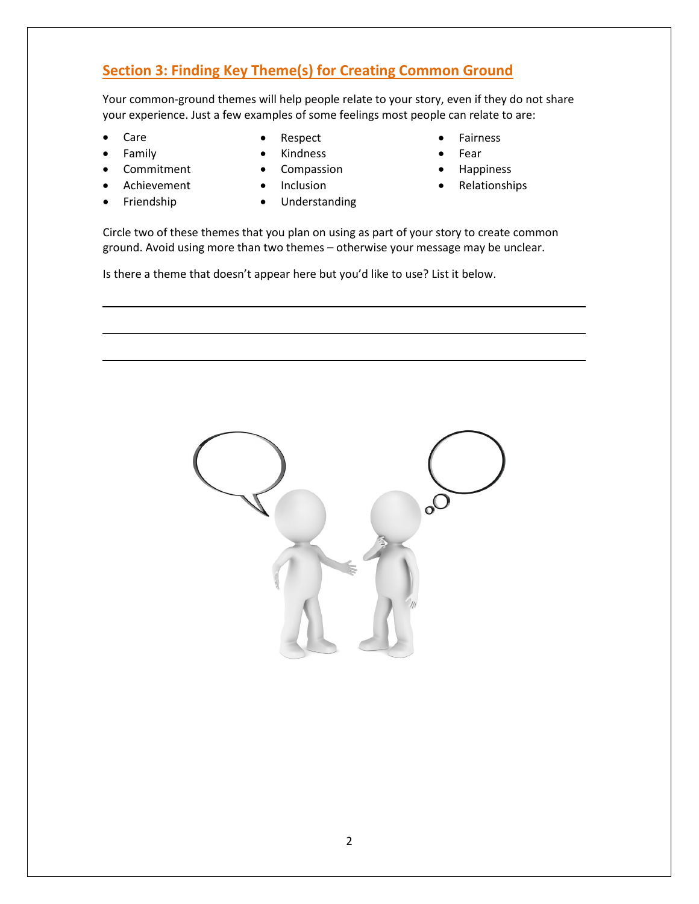#### **Section 3: Finding Key Theme(s) for Creating Common Ground**

Your common-ground themes will help people relate to your story, even if they do not share your experience. Just a few examples of some feelings most people can relate to are:

- Care
- Family
- **Commitment**
- **Achievement**
- Friendship
- Respect
- **Kindness**
- **Compassion**
- Inclusion
- Understanding
- **Fairness**
- Fear
- **Happiness**
- Relationships

Circle two of these themes that you plan on using as part of your story to create common ground. Avoid using more than two themes – otherwise your message may be unclear.

Is there a theme that doesn't appear here but you'd like to use? List it below.

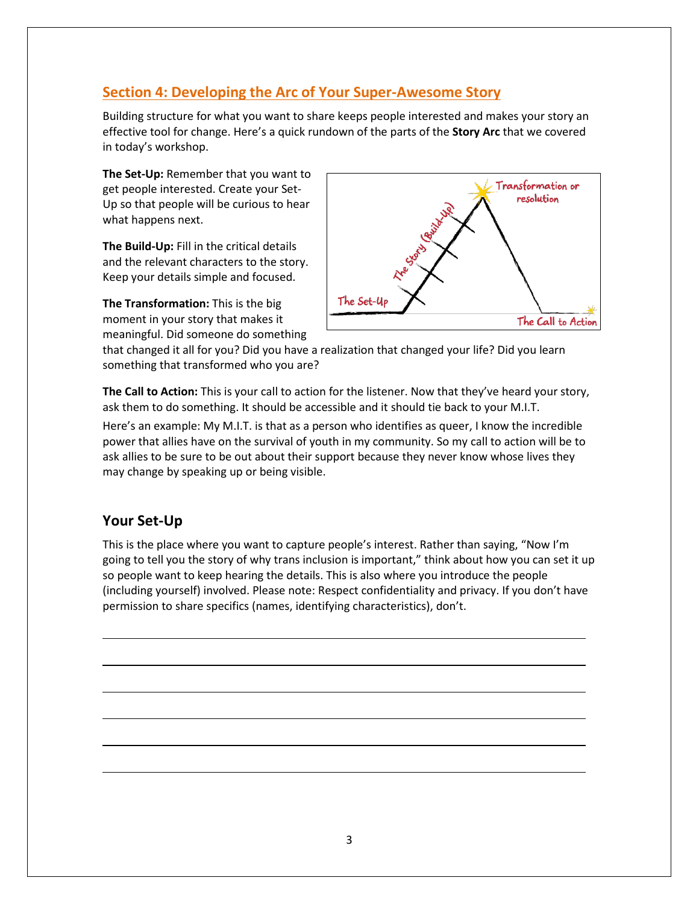#### **Section 4: Developing the Arc of Your Super-Awesome Story**

Building structure for what you want to share keeps people interested and makes your story an effective tool for change. Here's a quick rundown of the parts of the **Story Arc** that we covered in today's workshop.

**The Set-Up:** Remember that you want to get people interested. Create your Set-Up so that people will be curious to hear what happens next.

**The Build-Up:** Fill in the critical details and the relevant characters to the story. Keep your details simple and focused.

**The Transformation:** This is the big moment in your story that makes it meaningful. Did someone do something



that changed it all for you? Did you have a realization that changed your life? Did you learn something that transformed who you are?

**The Call to Action:** This is your call to action for the listener. Now that they've heard your story, ask them to do something. It should be accessible and it should tie back to your M.I.T.

Here's an example: My M.I.T. is that as a person who identifies as queer, I know the incredible power that allies have on the survival of youth in my community. So my call to action will be to ask allies to be sure to be out about their support because they never know whose lives they may change by speaking up or being visible.

#### **Your Set-Up**

This is the place where you want to capture people's interest. Rather than saying, "Now I'm going to tell you the story of why trans inclusion is important," think about how you can set it up so people want to keep hearing the details. This is also where you introduce the people (including yourself) involved. Please note: Respect confidentiality and privacy. If you don't have permission to share specifics (names, identifying characteristics), don't.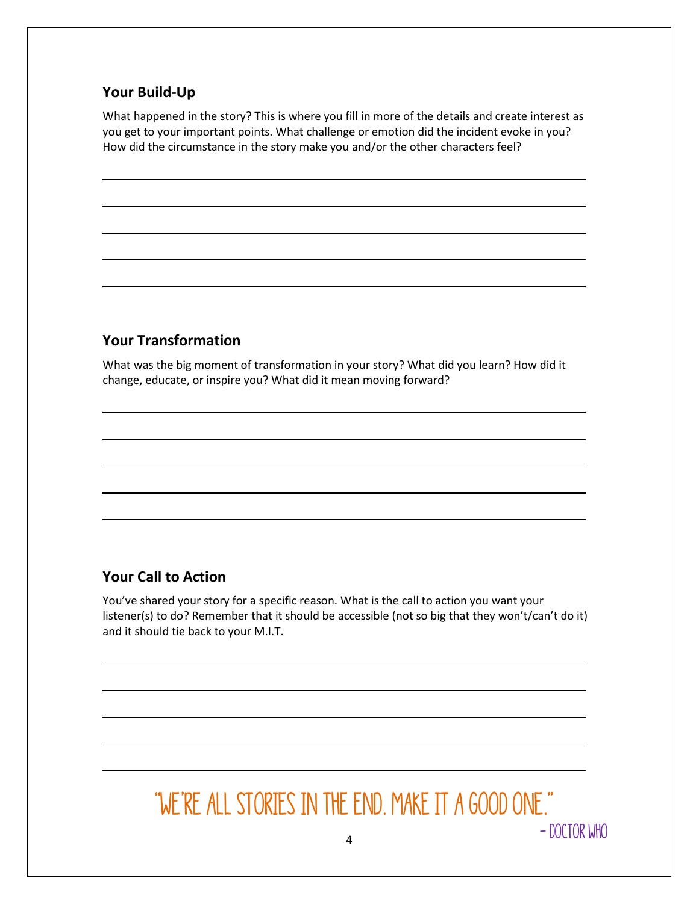#### **Your Build-Up**

What happened in the story? This is where you fill in more of the details and create interest as you get to your important points. What challenge or emotion did the incident evoke in you? How did the circumstance in the story make you and/or the other characters feel?

### **Your Transformation**

What was the big moment of transformation in your story? What did you learn? How did it change, educate, or inspire you? What did it mean moving forward?

#### **Your Call to Action**

You've shared your story for a specific reason. What is the call to action you want your listener(s) to do? Remember that it should be accessible (not so big that they won't/can't do it) and it should tie back to your M.I.T.

# "We're all stories in the end. Make it a good one."– Doctor Who